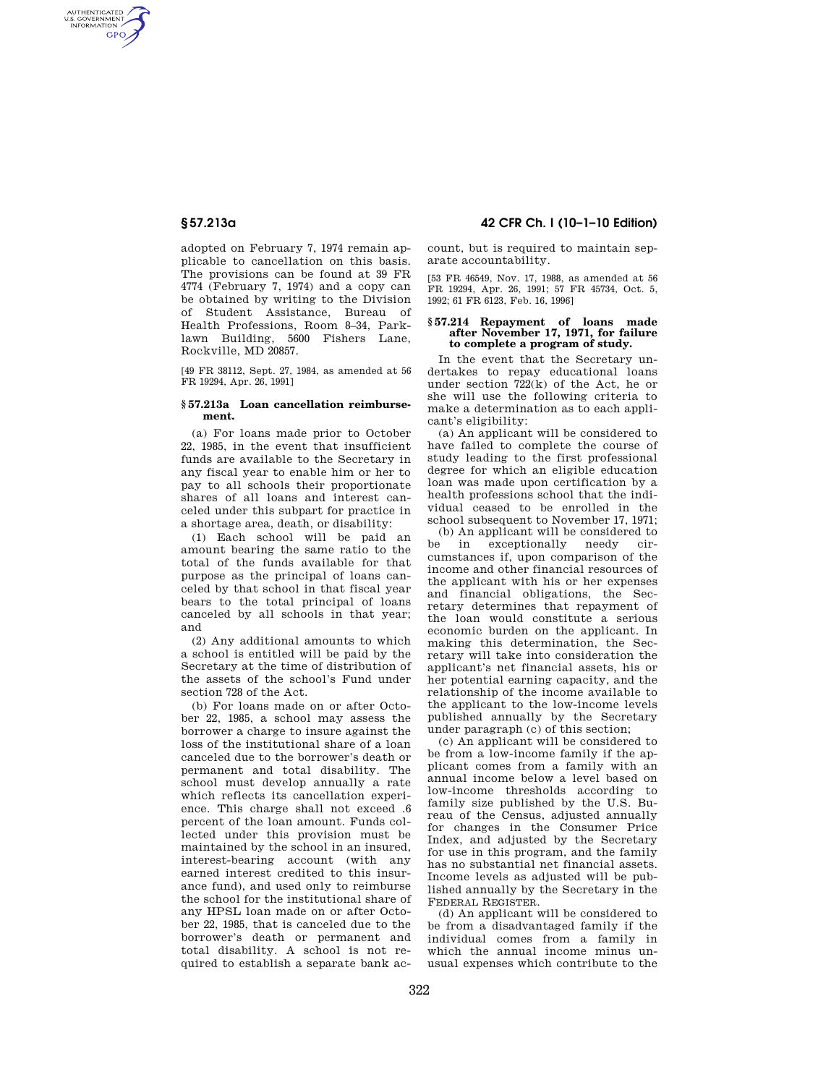AUTHENTICATED<br>U.S. GOVERNMENT<br>INFORMATION **GPO** 

> adopted on February 7, 1974 remain applicable to cancellation on this basis. The provisions can be found at 39 FR 4774 (February 7, 1974) and a copy can be obtained by writing to the Division of Student Assistance, Bureau of Health Professions, Room 8–34, Parklawn Building, 5600 Fishers Lane, Rockville, MD 20857.

> [49 FR 38112, Sept. 27, 1984, as amended at 56 FR 19294, Apr. 26, 1991]

# **§ 57.213a Loan cancellation reimbursement.**

(a) For loans made prior to October 22, 1985, in the event that insufficient funds are available to the Secretary in any fiscal year to enable him or her to pay to all schools their proportionate shares of all loans and interest canceled under this subpart for practice in a shortage area, death, or disability:

(1) Each school will be paid an amount bearing the same ratio to the total of the funds available for that purpose as the principal of loans canceled by that school in that fiscal year bears to the total principal of loans canceled by all schools in that year; and

(2) Any additional amounts to which a school is entitled will be paid by the Secretary at the time of distribution of the assets of the school's Fund under section 728 of the Act.

(b) For loans made on or after October 22, 1985, a school may assess the borrower a charge to insure against the loss of the institutional share of a loan canceled due to the borrower's death or permanent and total disability. The school must develop annually a rate which reflects its cancellation experience. This charge shall not exceed .6 percent of the loan amount. Funds collected under this provision must be maintained by the school in an insured, interest-bearing account (with any earned interest credited to this insurance fund), and used only to reimburse the school for the institutional share of any HPSL loan made on or after October 22, 1985, that is canceled due to the borrower's death or permanent and total disability. A school is not required to establish a separate bank ac-

# **§ 57.213a 42 CFR Ch. I (10–1–10 Edition)**

count, but is required to maintain separate accountability.

[53 FR 46549, Nov. 17, 1988, as amended at 56 FR 19294, Apr. 26, 1991; 57 FR 45734, Oct. 5, 1992; 61 FR 6123, Feb. 16, 1996]

### **§ 57.214 Repayment of loans made after November 17, 1971, for failure to complete a program of study.**

In the event that the Secretary undertakes to repay educational loans under section  $722(k)$  of the Act, he or she will use the following criteria to make a determination as to each applicant's eligibility:

(a) An applicant will be considered to have failed to complete the course of study leading to the first professional degree for which an eligible education loan was made upon certification by a health professions school that the individual ceased to be enrolled in the school subsequent to November 17, 1971;

(b) An applicant will be considered to be in exceptionally needy circumstances if, upon comparison of the income and other financial resources of the applicant with his or her expenses and financial obligations, the Secretary determines that repayment of the loan would constitute a serious economic burden on the applicant. In making this determination, the Secretary will take into consideration the applicant's net financial assets, his or her potential earning capacity, and the relationship of the income available to the applicant to the low-income levels published annually by the Secretary under paragraph (c) of this section;

(c) An applicant will be considered to be from a low-income family if the applicant comes from a family with an annual income below a level based on low-income thresholds according to family size published by the U.S. Bureau of the Census, adjusted annually for changes in the Consumer Price Index, and adjusted by the Secretary for use in this program, and the family has no substantial net financial assets. Income levels as adjusted will be published annually by the Secretary in the FEDERAL REGISTER.

(d) An applicant will be considered to be from a disadvantaged family if the individual comes from a family in which the annual income minus unusual expenses which contribute to the